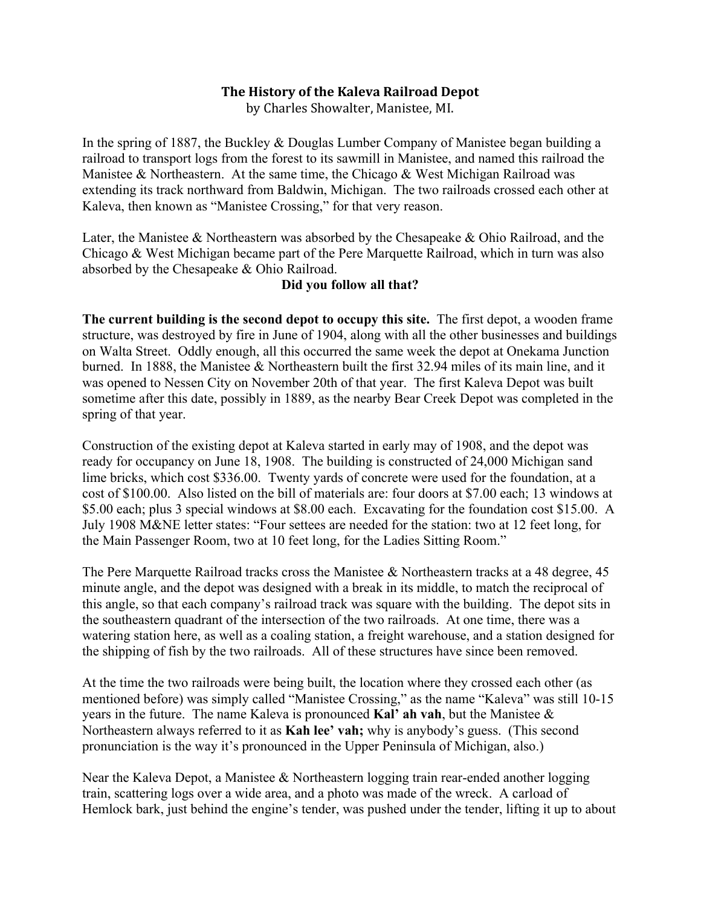## **The History of the Kaleva Railroad Depot**

by Charles Showalter, Manistee, MI.

In the spring of 1887, the Buckley & Douglas Lumber Company of Manistee began building a railroad to transport logs from the forest to its sawmill in Manistee, and named this railroad the Manistee & Northeastern. At the same time, the Chicago & West Michigan Railroad was extending its track northward from Baldwin, Michigan. The two railroads crossed each other at Kaleva, then known as "Manistee Crossing," for that very reason.

Later, the Manistee & Northeastern was absorbed by the Chesapeake & Ohio Railroad, and the Chicago & West Michigan became part of the Pere Marquette Railroad, which in turn was also absorbed by the Chesapeake & Ohio Railroad.

## **Did you follow all that?**

**The current building is the second depot to occupy this site.** The first depot, a wooden frame structure, was destroyed by fire in June of 1904, along with all the other businesses and buildings on Walta Street. Oddly enough, all this occurred the same week the depot at Onekama Junction burned. In 1888, the Manistee & Northeastern built the first 32.94 miles of its main line, and it was opened to Nessen City on November 20th of that year. The first Kaleva Depot was built sometime after this date, possibly in 1889, as the nearby Bear Creek Depot was completed in the spring of that year.

Construction of the existing depot at Kaleva started in early may of 1908, and the depot was ready for occupancy on June 18, 1908. The building is constructed of 24,000 Michigan sand lime bricks, which cost \$336.00. Twenty yards of concrete were used for the foundation, at a cost of \$100.00. Also listed on the bill of materials are: four doors at \$7.00 each; 13 windows at \$5.00 each; plus 3 special windows at \$8.00 each. Excavating for the foundation cost \$15.00. A July 1908 M&NE letter states: "Four settees are needed for the station: two at 12 feet long, for the Main Passenger Room, two at 10 feet long, for the Ladies Sitting Room."

The Pere Marquette Railroad tracks cross the Manistee & Northeastern tracks at a 48 degree, 45 minute angle, and the depot was designed with a break in its middle, to match the reciprocal of this angle, so that each company's railroad track was square with the building. The depot sits in the southeastern quadrant of the intersection of the two railroads. At one time, there was a watering station here, as well as a coaling station, a freight warehouse, and a station designed for the shipping of fish by the two railroads. All of these structures have since been removed.

At the time the two railroads were being built, the location where they crossed each other (as mentioned before) was simply called "Manistee Crossing," as the name "Kaleva" was still 10-15 years in the future. The name Kaleva is pronounced **Kal' ah vah**, but the Manistee & Northeastern always referred to it as **Kah lee' vah;** why is anybody's guess. (This second pronunciation is the way it's pronounced in the Upper Peninsula of Michigan, also.)

Near the Kaleva Depot, a Manistee & Northeastern logging train rear-ended another logging train, scattering logs over a wide area, and a photo was made of the wreck. A carload of Hemlock bark, just behind the engine's tender, was pushed under the tender, lifting it up to about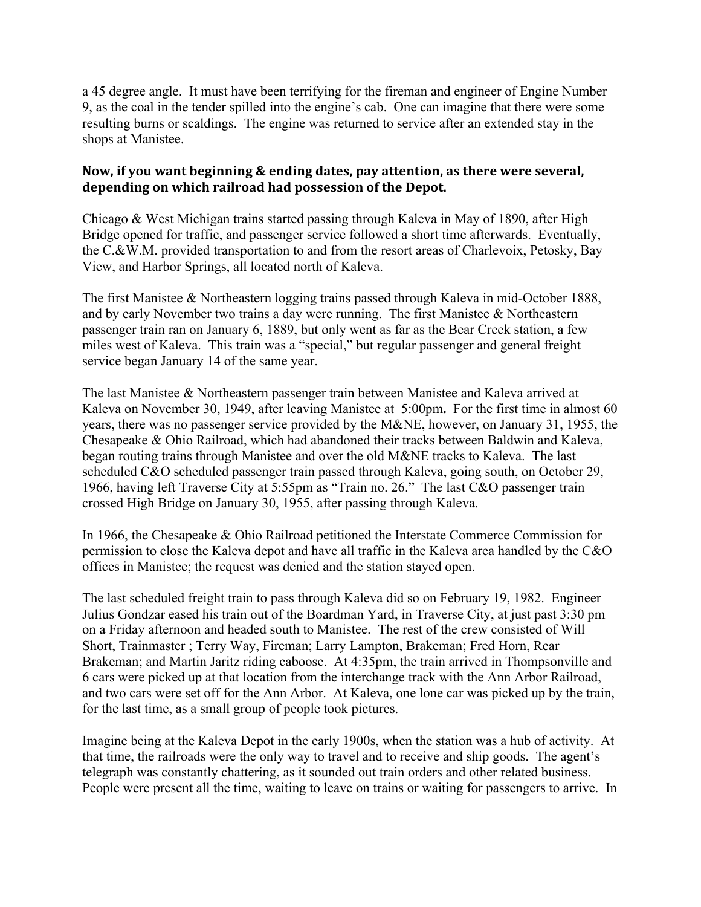a 45 degree angle. It must have been terrifying for the fireman and engineer of Engine Number 9, as the coal in the tender spilled into the engine's cab. One can imagine that there were some resulting burns or scaldings. The engine was returned to service after an extended stay in the shops at Manistee.

## Now, if you want beginning & ending dates, pay attention, as there were several, depending on which railroad had possession of the Depot.

Chicago & West Michigan trains started passing through Kaleva in May of 1890, after High Bridge opened for traffic, and passenger service followed a short time afterwards. Eventually, the C.&W.M. provided transportation to and from the resort areas of Charlevoix, Petosky, Bay View, and Harbor Springs, all located north of Kaleva.

The first Manistee & Northeastern logging trains passed through Kaleva in mid-October 1888, and by early November two trains a day were running. The first Manistee & Northeastern passenger train ran on January 6, 1889, but only went as far as the Bear Creek station, a few miles west of Kaleva. This train was a "special," but regular passenger and general freight service began January 14 of the same year.

The last Manistee & Northeastern passenger train between Manistee and Kaleva arrived at Kaleva on November 30, 1949, after leaving Manistee at 5:00pm**.** For the first time in almost 60 years, there was no passenger service provided by the M&NE, however, on January 31, 1955, the Chesapeake & Ohio Railroad, which had abandoned their tracks between Baldwin and Kaleva, began routing trains through Manistee and over the old M&NE tracks to Kaleva. The last scheduled C&O scheduled passenger train passed through Kaleva, going south, on October 29, 1966, having left Traverse City at 5:55pm as "Train no. 26." The last C&O passenger train crossed High Bridge on January 30, 1955, after passing through Kaleva.

In 1966, the Chesapeake & Ohio Railroad petitioned the Interstate Commerce Commission for permission to close the Kaleva depot and have all traffic in the Kaleva area handled by the C&O offices in Manistee; the request was denied and the station stayed open.

The last scheduled freight train to pass through Kaleva did so on February 19, 1982. Engineer Julius Gondzar eased his train out of the Boardman Yard, in Traverse City, at just past 3:30 pm on a Friday afternoon and headed south to Manistee. The rest of the crew consisted of Will Short, Trainmaster ; Terry Way, Fireman; Larry Lampton, Brakeman; Fred Horn, Rear Brakeman; and Martin Jaritz riding caboose. At 4:35pm, the train arrived in Thompsonville and 6 cars were picked up at that location from the interchange track with the Ann Arbor Railroad, and two cars were set off for the Ann Arbor. At Kaleva, one lone car was picked up by the train, for the last time, as a small group of people took pictures.

Imagine being at the Kaleva Depot in the early 1900s, when the station was a hub of activity. At that time, the railroads were the only way to travel and to receive and ship goods. The agent's telegraph was constantly chattering, as it sounded out train orders and other related business. People were present all the time, waiting to leave on trains or waiting for passengers to arrive. In